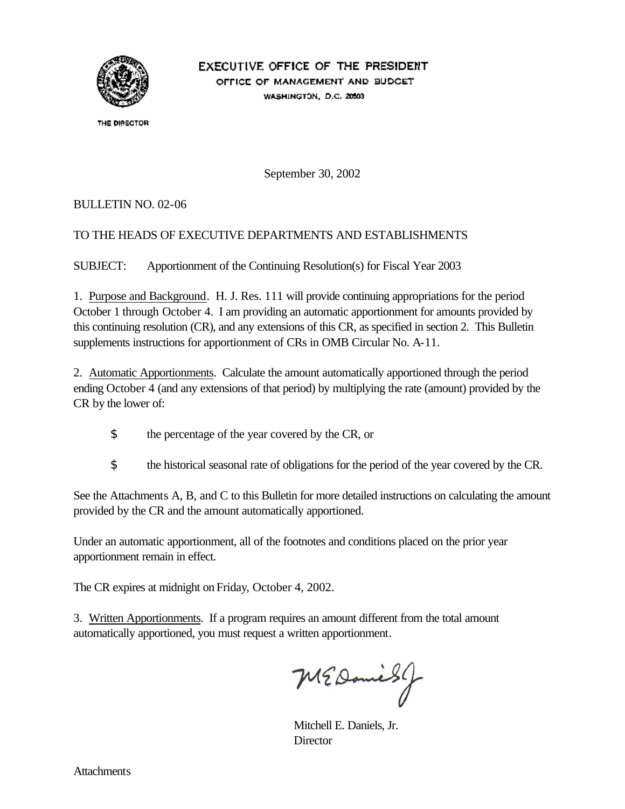

# EXECUTIVE OFFICE OF THE PRESIDENT

OFFICE OF MANAGEMENT AND BUDGET WASHINGTON, D.C. 20503

THE DIRECTOR

September 30, 2002

### BULLETIN NO. 02-06

## TO THE HEADS OF EXECUTIVE DEPARTMENTS AND ESTABLISHMENTS

SUBJECT: Apportionment of the Continuing Resolution(s) for Fiscal Year 2003

1. Purpose and Background. H. J. Res. 111 will provide continuing appropriations for the period October 1 through October 4. I am providing an automatic apportionment for amounts provided by this continuing resolution (CR), and any extensions of this CR, as specified in section 2. This Bulletin supplements instructions for apportionment of CRs in OMB Circular No. A-11.

2. Automatic Apportionments. Calculate the amount automatically apportioned through the period ending October 4 (and any extensions of that period) by multiplying the rate (amount) provided by the CR by the lower of:

- \$ the percentage of the year covered by the CR, or
- \$ the historical seasonal rate of obligations for the period of the year covered by the CR.

See the Attachments A, B, and C to this Bulletin for more detailed instructions on calculating the amount provided by the CR and the amount automatically apportioned.

Under an automatic apportionment, all of the footnotes and conditions placed on the prior year apportionment remain in effect.

The CR expires at midnight on Friday, October 4, 2002.

3. Written Apportionments. If a program requires an amount different from the total amount automatically apportioned, you must request a written apportionment.

MEDanies J

Mitchell E. Daniels, Jr. **Director**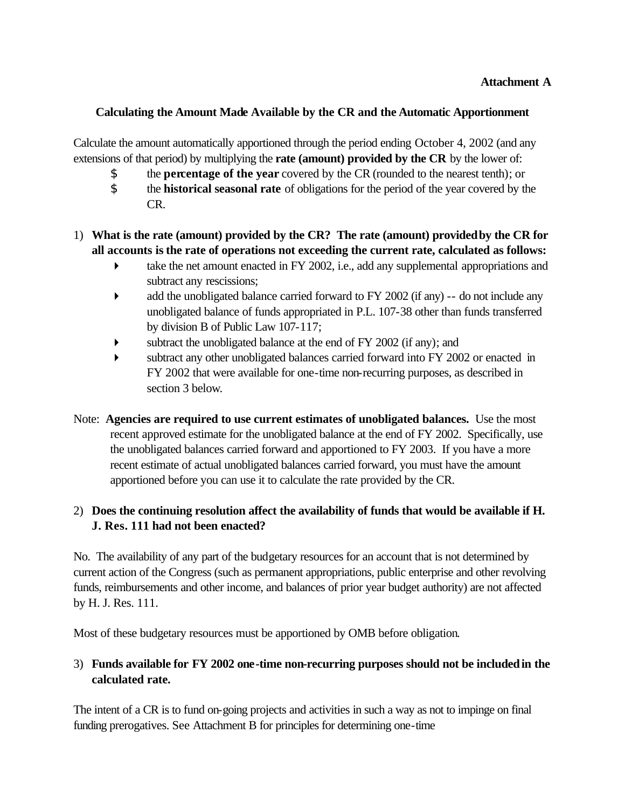#### **Calculating the Amount Made Available by the CR and the Automatic Apportionment**

Calculate the amount automatically apportioned through the period ending October 4, 2002 (and any extensions of that period) by multiplying the **rate (amount) provided by the CR** by the lower of:

- \$ the **percentage of the year** covered by the CR (rounded to the nearest tenth); or
- \$ the **historical seasonal rate** of obligations for the period of the year covered by the CR.

### 1) **What is the rate (amount) provided by the CR? The rate (amount) provided by the CR for all accounts is the rate of operations not exceeding the current rate, calculated as follows:**

- $\blacktriangleright$  take the net amount enacted in FY 2002, i.e., add any supplemental appropriations and subtract any rescissions;
- add the unobligated balance carried forward to FY 2002 (if any) -- do not include any unobligated balance of funds appropriated in P.L. 107-38 other than funds transferred by division B of Public Law 107-117;
- $\blacktriangleright$  subtract the unobligated balance at the end of FY 2002 (if any); and
- � subtract any other unobligated balances carried forward into FY 2002 or enacted in FY 2002 that were available for one-time non-recurring purposes, as described in section 3 below.
- Note: **Agencies are required to use current estimates of unobligated balances.** Use the most recent approved estimate for the unobligated balance at the end of FY 2002. Specifically, use the unobligated balances carried forward and apportioned to FY 2003. If you have a more recent estimate of actual unobligated balances carried forward, you must have the amount apportioned before you can use it to calculate the rate provided by the CR.

## 2) **Does the continuing resolution affect the availability of funds that would be available if H. J. Res. 111 had not been enacted?**

No. The availability of any part of the budgetary resources for an account that is not determined by current action of the Congress (such as permanent appropriations, public enterprise and other revolving funds, reimbursements and other income, and balances of prior year budget authority) are not affected by H. J. Res. 111.

Most of these budgetary resources must be apportioned by OMB before obligation.

## 3) **Funds available for FY 2002 one-time non-recurring purposes should not be included in the calculated rate.**

The intent of a CR is to fund on-going projects and activities in such a way as not to impinge on final funding prerogatives. See Attachment B for principles for determining one-time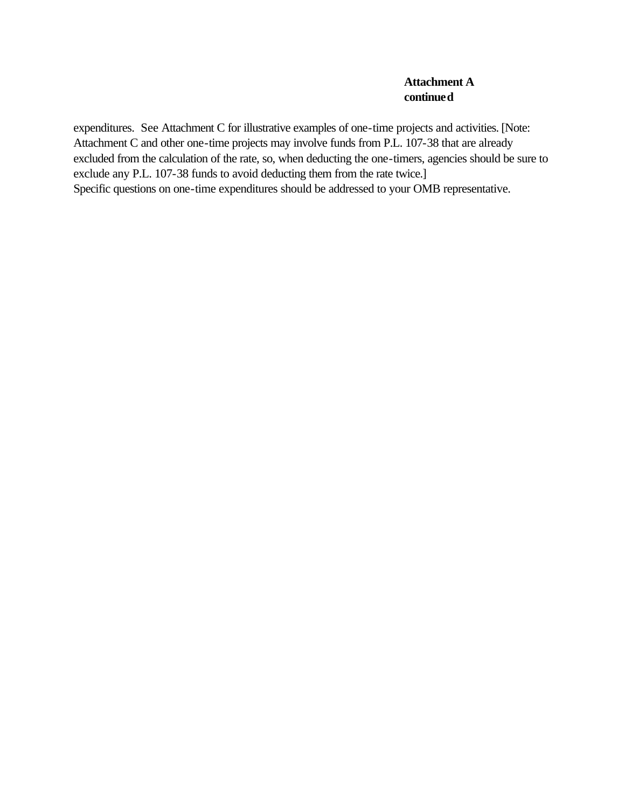#### **Attachment A continued**

expenditures. See Attachment C for illustrative examples of one-time projects and activities. [Note: Attachment C and other one-time projects may involve funds from P.L. 107-38 that are already excluded from the calculation of the rate, so, when deducting the one-timers, agencies should be sure to exclude any P.L. 107-38 funds to avoid deducting them from the rate twice.] Specific questions on one-time expenditures should be addressed to your OMB representative.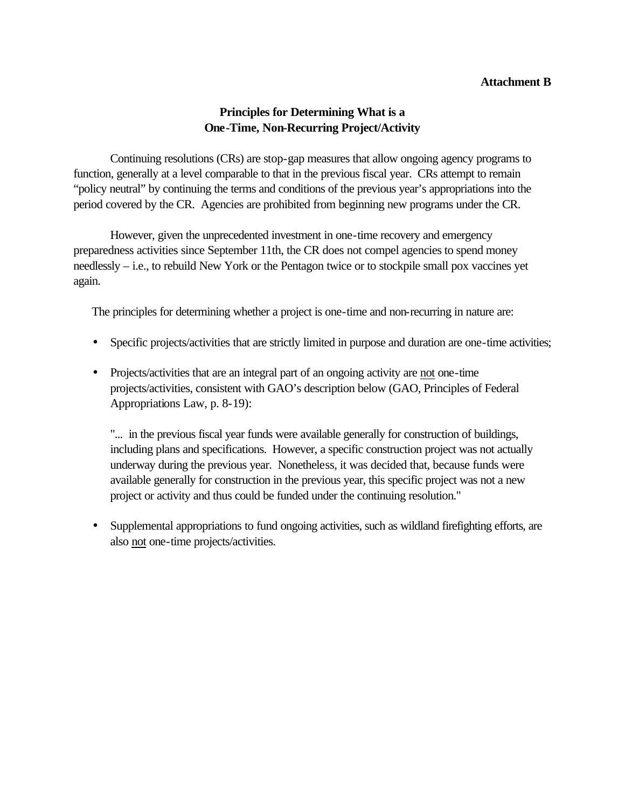#### **Attachment B**

### **Principles for Determining What is a One-Time, Non-Recurring Project/Activity**

Continuing resolutions (CRs) are stop-gap measures that allow ongoing agency programs to function, generally at a level comparable to that in the previous fiscal year. CRs attempt to remain "policy neutral" by continuing the terms and conditions of the previous year's appropriations into the period covered by the CR. Agencies are prohibited from beginning new programs under the CR.

However, given the unprecedented investment in one-time recovery and emergency preparedness activities since September 11th, the CR does not compel agencies to spend money needlessly – i.e., to rebuild New York or the Pentagon twice or to stockpile small pox vaccines yet again.

The principles for determining whether a project is one-time and non-recurring in nature are:

- Specific projects/activities that are strictly limited in purpose and duration are one-time activities;
- Projects/activities that are an integral part of an ongoing activity are not one-time projects/activities, consistent with GAO's description below (GAO, Principles of Federal Appropriations Law, p. 8-19):

"... in the previous fiscal year funds were available generally for construction of buildings, including plans and specifications. However, a specific construction project was not actually underway during the previous year. Nonetheless, it was decided that, because funds were available generally for construction in the previous year, this specific project was not a new project or activity and thus could be funded under the continuing resolution."

• Supplemental appropriations to fund ongoing activities, such as wildland firefighting efforts, are also not one-time projects/activities.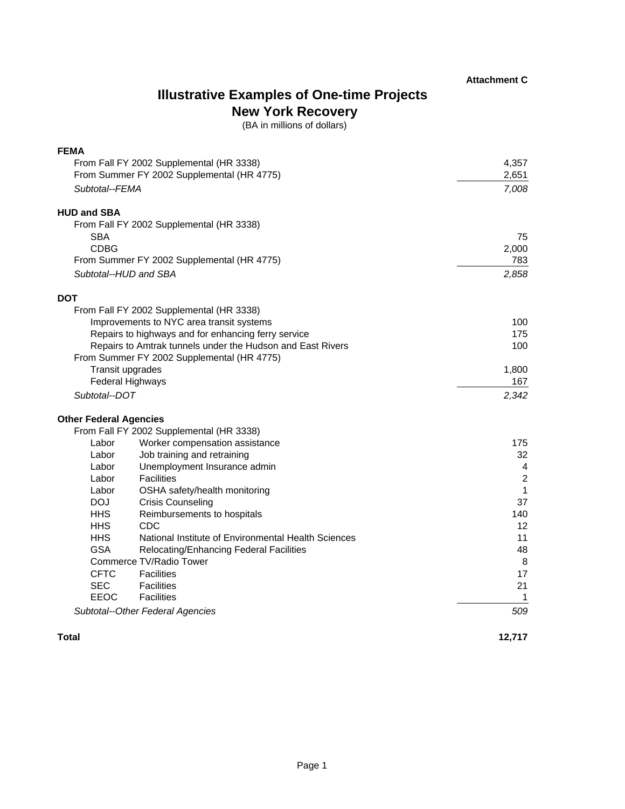## **Illustrative Examples of One-time Projects New York Recovery**

(BA in millions of dollars)

| <b>FEMA</b>                                                |                                                     |                  |
|------------------------------------------------------------|-----------------------------------------------------|------------------|
| From Fall FY 2002 Supplemental (HR 3338)                   |                                                     | 4,357            |
|                                                            | From Summer FY 2002 Supplemental (HR 4775)          | 2,651            |
| Subtotal--FEMA                                             |                                                     | 7,008            |
| <b>HUD and SBA</b>                                         |                                                     |                  |
|                                                            | From Fall FY 2002 Supplemental (HR 3338)            |                  |
| <b>SBA</b>                                                 |                                                     | 75               |
| <b>CDBG</b>                                                |                                                     | 2,000            |
| From Summer FY 2002 Supplemental (HR 4775)                 |                                                     | 783              |
| Subtotal--HUD and SBA                                      |                                                     | 2,858            |
| <b>DOT</b>                                                 |                                                     |                  |
|                                                            | From Fall FY 2002 Supplemental (HR 3338)            |                  |
| Improvements to NYC area transit systems                   |                                                     | 100              |
| Repairs to highways and for enhancing ferry service        |                                                     | 175              |
| Repairs to Amtrak tunnels under the Hudson and East Rivers |                                                     | 100              |
|                                                            | From Summer FY 2002 Supplemental (HR 4775)          |                  |
|                                                            | Transit upgrades                                    | 1,800            |
|                                                            | <b>Federal Highways</b>                             | 167              |
| Subtotal--DOT                                              |                                                     | 2,342            |
| <b>Other Federal Agencies</b>                              |                                                     |                  |
|                                                            | From Fall FY 2002 Supplemental (HR 3338)            |                  |
| Labor                                                      | Worker compensation assistance                      | 175              |
| Labor                                                      | Job training and retraining                         | 32               |
| Labor                                                      | Unemployment Insurance admin                        | $\overline{4}$   |
| Labor                                                      | <b>Facilities</b>                                   | $\boldsymbol{2}$ |
| Labor                                                      | OSHA safety/health monitoring                       | 1                |
| DOJ.                                                       | <b>Crisis Counseling</b>                            | 37               |
| <b>HHS</b>                                                 | Reimbursements to hospitals                         | 140              |
| <b>HHS</b>                                                 | CDC                                                 | 12               |
| <b>HHS</b>                                                 | National Institute of Environmental Health Sciences | 11               |
| <b>GSA</b>                                                 | Relocating/Enhancing Federal Facilities             | 48               |
|                                                            | Commerce TV/Radio Tower                             | 8                |
| <b>CFTC</b>                                                | <b>Facilities</b>                                   | 17               |
| <b>SEC</b>                                                 | <b>Facilities</b>                                   | 21               |
| EEOC                                                       | <b>Facilities</b>                                   | 1                |
|                                                            | Subtotal--Other Federal Agencies                    | 509              |

#### **Total**

**12,717**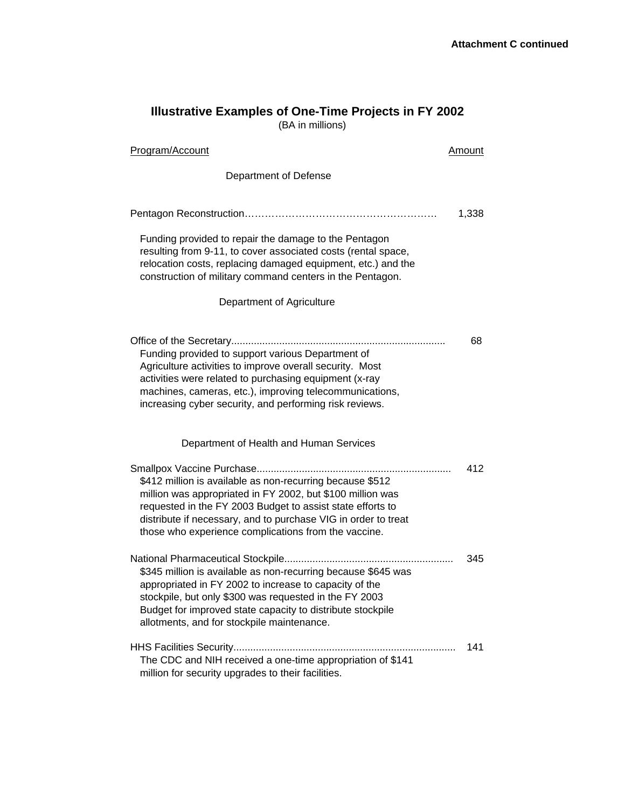#### **Illustrative Examples of One-Time Projects in FY 2002**

(BA in millions)

| Program/Account                                                                                                                                                                                                                                                                                                 | Amount |
|-----------------------------------------------------------------------------------------------------------------------------------------------------------------------------------------------------------------------------------------------------------------------------------------------------------------|--------|
| Department of Defense                                                                                                                                                                                                                                                                                           |        |
|                                                                                                                                                                                                                                                                                                                 | 1,338  |
| Funding provided to repair the damage to the Pentagon<br>resulting from 9-11, to cover associated costs (rental space,<br>relocation costs, replacing damaged equipment, etc.) and the<br>construction of military command centers in the Pentagon.                                                             |        |
| Department of Agriculture                                                                                                                                                                                                                                                                                       |        |
| Funding provided to support various Department of<br>Agriculture activities to improve overall security. Most<br>activities were related to purchasing equipment (x-ray<br>machines, cameras, etc.), improving telecommunications,<br>increasing cyber security, and performing risk reviews.                   | 68     |
| Department of Health and Human Services                                                                                                                                                                                                                                                                         |        |
| \$412 million is available as non-recurring because \$512<br>million was appropriated in FY 2002, but \$100 million was<br>requested in the FY 2003 Budget to assist state efforts to<br>distribute if necessary, and to purchase VIG in order to treat<br>those who experience complications from the vaccine. | 412    |
| \$345 million is available as non-recurring because \$645 was<br>appropriated in FY 2002 to increase to capacity of the<br>stockpile, but only \$300 was requested in the FY 2003<br>Budget for improved state capacity to distribute stockpile<br>allotments, and for stockpile maintenance.                   | 345    |
| The CDC and NIH received a one-time appropriation of \$141<br>million for security upgrades to their facilities.                                                                                                                                                                                                | 141    |